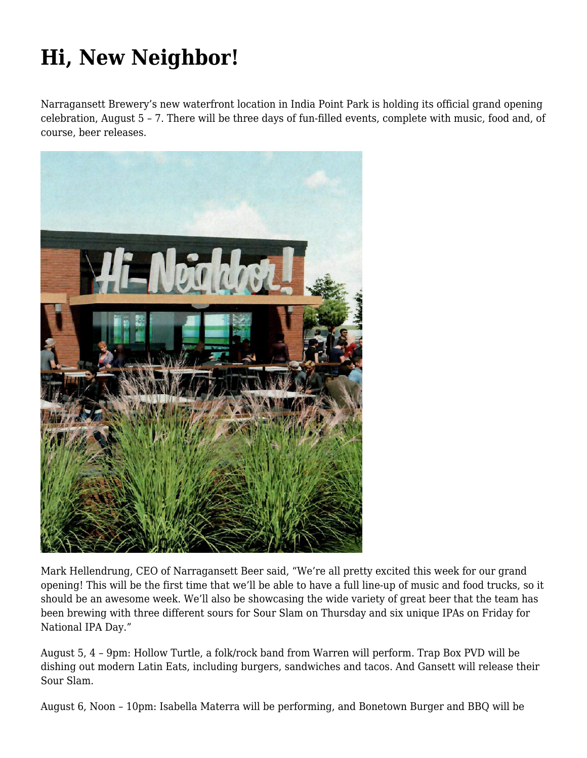## **[Hi, New Neighbor!](https://motifri.com/hi-new-neighbor/)**

Narragansett Brewery's new waterfront location in India Point Park is holding its official grand opening celebration, August 5 – 7. There will be three days of fun-filled events, complete with music, food and, of course, beer releases.



Mark Hellendrung, CEO of Narragansett Beer said, "We're all pretty excited this week for our grand opening! This will be the first time that we'll be able to have a full line-up of music and food trucks, so it should be an awesome week. We'll also be showcasing the wide variety of great beer that the team has been brewing with three different sours for Sour Slam on Thursday and six unique IPAs on Friday for National IPA Day."

August 5, 4 – 9pm: Hollow Turtle, a folk/rock band from Warren will perform. Trap Box PVD will be dishing out modern Latin Eats, including burgers, sandwiches and tacos. And Gansett will release their Sour Slam.

August 6, Noon – 10pm: Isabella Materra will be performing, and Bonetown Burger and BBQ will be